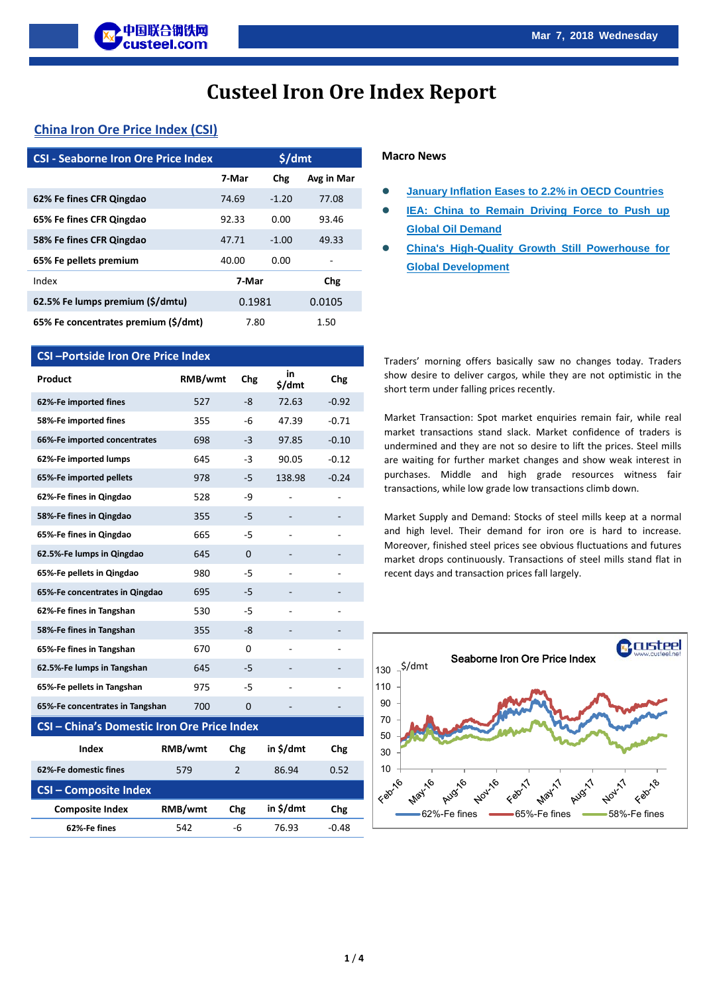# **Custeel Iron Ore Index Report**

# **China Iron Ore Price Index (CSI)**

| <b>CSI - Seaborne Iron Ore Price Index</b> |        | \$/dmt  |            |
|--------------------------------------------|--------|---------|------------|
|                                            | 7-Mar  | Chg     | Avg in Mar |
| 62% Fe fines CFR Qingdao                   | 74.69  | $-1.20$ | 77.08      |
| 65% Fe fines CFR Qingdao                   | 92.33  | 0.00    | 93.46      |
| 58% Fe fines CFR Qingdao                   | 47.71  | $-1.00$ | 49.33      |
| 65% Fe pellets premium                     | 40.00  | 0.00    |            |
| Index                                      | 7-Mar  |         | Chg        |
| 62.5% Fe lumps premium (\$/dmtu)           | 0.1981 |         | 0.0105     |
| 65% Fe concentrates premium (\$/dmt)       | 7.80   |         | 1.50       |

# **CSI –Portside Iron Ore Price Index**

| Product                                     | RMB/wmt | Chg            | in<br>\$/dmt | <b>Chg</b> |  |  |
|---------------------------------------------|---------|----------------|--------------|------------|--|--|
| 62%-Fe imported fines                       | 527     | -8             | 72.63        | $-0.92$    |  |  |
| 58%-Fe imported fines                       | 355     | -6             | 47.39        | $-0.71$    |  |  |
| 66%-Fe imported concentrates                | 698     | -3             | 97.85        | $-0.10$    |  |  |
| 62%-Fe imported lumps                       | 645     | $-3$           | 90.05        | $-0.12$    |  |  |
| 65%-Fe imported pellets                     | 978     | -5             | 138.98       | $-0.24$    |  |  |
| 62%-Fe fines in Qingdao                     | 528     | -9             |              |            |  |  |
| 58%-Fe fines in Qingdao                     | 355     | -5             |              |            |  |  |
| 65%-Fe fines in Qingdao                     | 665     | -5             |              |            |  |  |
| 62.5%-Fe lumps in Qingdao                   | 645     | $\Omega$       |              |            |  |  |
| 65%-Fe pellets in Qingdao                   | 980     | -5             |              |            |  |  |
| 65%-Fe concentrates in Qingdao              | 695     | -5             |              |            |  |  |
| 62%-Fe fines in Tangshan                    | 530     | $-5$           |              |            |  |  |
| 58%-Fe fines in Tangshan                    | 355     | -8             |              |            |  |  |
| 65%-Fe fines in Tangshan                    | 670     | $\Omega$       |              |            |  |  |
| 62.5%-Fe lumps in Tangshan                  | 645     | -5             |              |            |  |  |
| 65%-Fe pellets in Tangshan                  | 975     | -5             |              |            |  |  |
| 65%-Fe concentrates in Tangshan             | 700     | 0              |              |            |  |  |
| CSI - China's Domestic Iron Ore Price Index |         |                |              |            |  |  |
| <b>Index</b>                                | RMB/wmt | <b>Chg</b>     | in \$/dmt    | Chg        |  |  |
| 62%-Fe domestic fines                       | 579     | $\overline{2}$ | 86.94        | 0.52       |  |  |
| <b>CSI-Composite Index</b>                  |         |                |              |            |  |  |
| <b>Composite Index</b>                      | RMB/wmt | Chg            | in \$/dmt    | Chg        |  |  |

**62%-Fe fines** 542 -6 76.93 -0.48

#### **Macro News**

- **[January Inflation Eases to 2.2% in OECD Countries](http://www.custeel.net/en/freeShow.do?freeflag=vv~***22&freeid=0000149046)**
- **IEA: China to Remain Driving Force to Push up [Global Oil Demand](http://www.custeel.net/en/freeShow.do?freeflag=vv~***22&freeid=0000149045)**
- **[China's High-Quality Growth Still Powerhouse for](http://www.custeel.net/en/freeShow.do?freeflag=vv~***22&freeid=0000149044)  [Global Development](http://www.custeel.net/en/freeShow.do?freeflag=vv~***22&freeid=0000149044)**

Traders' morning offers basically saw no changes today. Traders show desire to deliver cargos, while they are not optimistic in the short term under falling prices recently.

Market Transaction: Spot market enquiries remain fair, while real market transactions stand slack. Market confidence of traders is undermined and they are not so desire to lift the prices. Steel mills are waiting for further market changes and show weak interest in purchases. Middle and high grade resources witness fair transactions, while low grade low transactions climb down.

Market Supply and Demand: Stocks of steel mills keep at a normal and high level. Their demand for iron ore is hard to increase. Moreover, finished steel prices see obvious fluctuations and futures market drops continuously. Transactions of steel mills stand flat in recent days and transaction prices fall largely.

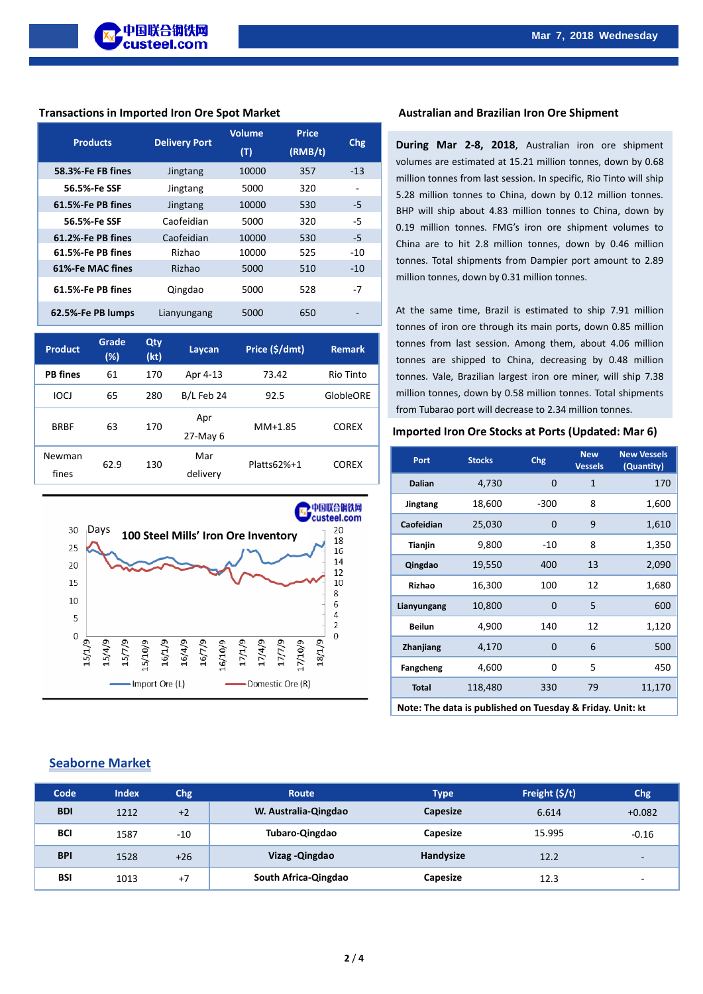#### **Transactions in Imported Iron Ore Spot Market Australian and Brazilian Iron Ore Shipment**

| <b>Products</b>   | <b>Delivery Port</b> | <b>Volume</b><br>(T) | <b>Price</b><br>(RMB/t) | Chg   |
|-------------------|----------------------|----------------------|-------------------------|-------|
| 58.3%-Fe FB fines | Jingtang             | 10000                | 357                     | $-13$ |
| 56.5%-Fe SSF      | Jingtang             | 5000                 | 320                     |       |
| 61.5%-Fe PB fines | Jingtang             | 10000                | 530                     | -5    |
| 56.5%-Fe SSF      | Caofeidian           | 5000                 | 320                     | -5    |
| 61.2%-Fe PB fines | Caofeidian           | 10000                | 530                     | $-5$  |
| 61.5%-Fe PB fines | Rizhao               | 10000                | 525                     | $-10$ |
| 61%-Fe MAC fines  | Rizhao               | 5000                 | 510                     | $-10$ |
| 61.5%-Fe PB fines | Qingdao              | 5000                 | 528                     | -7    |
| 62.5%-Fe PB lumps | Lianyungang          | 5000                 | 650                     |       |

| <b>Product</b>  | Grade<br>$(\%)$ | Qty<br>(kt) | Laycan          | Price (\$/dmt) | <b>Remark</b>    |
|-----------------|-----------------|-------------|-----------------|----------------|------------------|
| <b>PB</b> fines | 61              | 170         | Apr 4-13        | 73.42          | Rio Tinto        |
| <b>IOCI</b>     | 65              | 280         | B/L Feb 24      | 92.5           | <b>GlobleORE</b> |
| <b>BRBF</b>     | 63              | 170         | Apr<br>27-May 6 | $MM+1.85$      | <b>COREX</b>     |
| Newman<br>fines | 62.9            | 130         | Mar<br>delivery | $Platts62%+1$  | <b>COREX</b>     |



**During Mar 2-8, 2018**, Australian iron ore shipment volumes are estimated at 15.21 million tonnes, down by 0.68 million tonnes from last session. In specific, Rio Tinto will ship 5.28 million tonnes to China, down by 0.12 million tonnes. BHP will ship about 4.83 million tonnes to China, down by 0.19 million tonnes. FMG's iron ore shipment volumes to China are to hit 2.8 million tonnes, down by 0.46 million tonnes. Total shipments from Dampier port amount to 2.89 million tonnes, down by 0.31 million tonnes.

At the same time, Brazil is estimated to ship 7.91 million tonnes of iron ore through its main ports, down 0.85 million tonnes from last session. Among them, about 4.06 million tonnes are shipped to China, decreasing by 0.48 million tonnes. Vale, Brazilian largest iron ore miner, will ship 7.38 million tonnes, down by 0.58 million tonnes. Total shipments from Tubarao port will decrease to 2.34 million tonnes.

#### **Imported Iron Ore Stocks at Ports (Updated: Mar 6)**

| Port           | <b>Stocks</b> | <b>Chg</b> | <b>New</b><br><b>Vessels</b> | <b>New Vessels</b><br>(Quantity) |
|----------------|---------------|------------|------------------------------|----------------------------------|
| <b>Dalian</b>  | 4,730         | 0          | 1                            | 170                              |
| Jingtang       | 18,600        | $-300$     | 8                            | 1,600                            |
| Caofeidian     | 25,030        | $\Omega$   | 9                            | 1,610                            |
| <b>Tianjin</b> | 9,800         | $-10$      | 8                            | 1,350                            |
| Qingdao        | 19,550        | 400        | 13                           | 2,090                            |
| Rizhao         | 16,300        | 100        | 12                           | 1,680                            |
| Lianyungang    | 10,800        | $\Omega$   | 5                            | 600                              |
| <b>Beilun</b>  | 4,900         | 140        | 12                           | 1,120                            |
| Zhanjiang      | 4,170         | 0          | 6                            | 500                              |
| Fangcheng      | 4,600         | 0          | 5                            | 450                              |
| <b>Total</b>   | 118,480       | 330        | 79                           | 11,170                           |
|                |               |            |                              |                                  |

**Note: The data is published on Tuesday & Friday. Unit: kt**

# **Seaborne Market**

| Code       | <b>Index</b> | Chg   | <b>Route</b>         | <b>Type</b> | Freight $(S/t)$ | <b>Chg</b>               |
|------------|--------------|-------|----------------------|-------------|-----------------|--------------------------|
| <b>BDI</b> | 1212         | $+2$  | W. Australia-Qingdao | Capesize    | 6.614           | $+0.082$                 |
| <b>BCI</b> | 1587         | $-10$ | Tubaro-Qingdao       | Capesize    | 15.995          | $-0.16$                  |
| <b>BPI</b> | 1528         | $+26$ | Vizag - Qingdao      | Handysize   | 12.2            | $\overline{\phantom{a}}$ |
| <b>BSI</b> | 1013         | $+7$  | South Africa-Qingdao | Capesize    | 12.3            | $\overline{\phantom{a}}$ |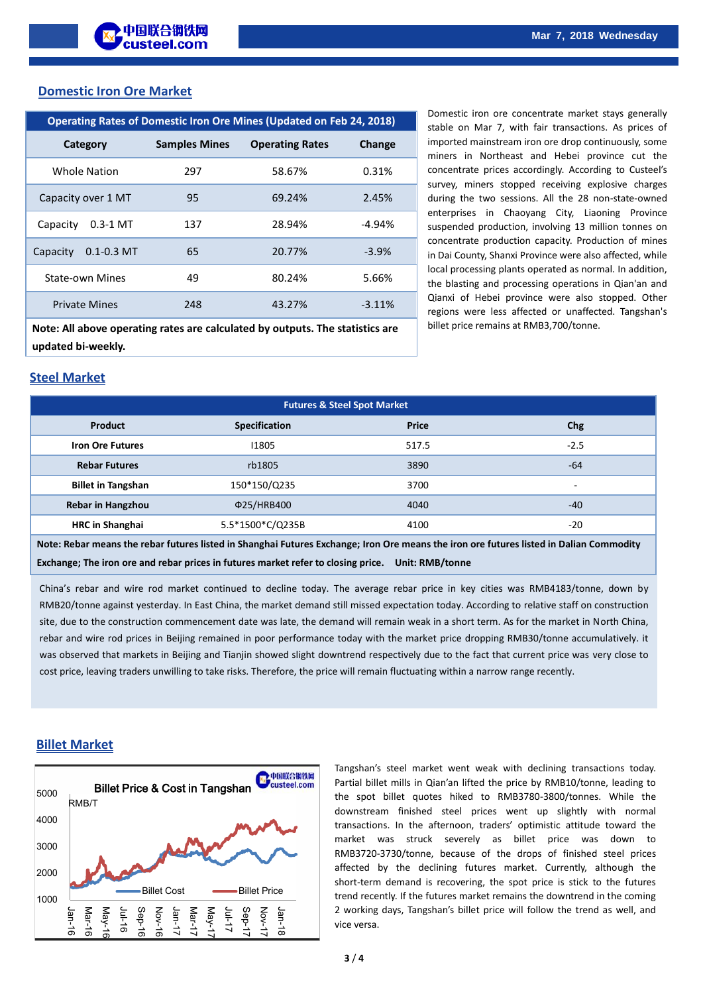## **Domestic Iron Ore Market**

| <b>Operating Rates of Domestic Iron Ore Mines (Updated on Feb 24, 2018)</b>   |                      |                        |          |  |  |
|-------------------------------------------------------------------------------|----------------------|------------------------|----------|--|--|
| Category                                                                      | <b>Samples Mines</b> | <b>Operating Rates</b> | Change   |  |  |
| Whole Nation                                                                  | 297                  | 58.67%                 | 0.31%    |  |  |
| Capacity over 1 MT                                                            | 95                   | 69.24%                 | 2.45%    |  |  |
| Capacity<br>$0.3 - 1$ MT                                                      | 137                  | 28.94%                 | $-4.94%$ |  |  |
| Capacity<br>$0.1 - 0.3$ MT                                                    | 65                   | 20.77%                 | $-3.9\%$ |  |  |
| <b>State-own Mines</b>                                                        | 49                   | 80.24%                 | 5.66%    |  |  |
| <b>Private Mines</b>                                                          | 248                  | 43.27%                 | $-3.11%$ |  |  |
| Note: All above operating rates are calculated by outputs. The statistics are |                      |                        |          |  |  |
| updated bi-weekly.                                                            |                      |                        |          |  |  |

Domestic iron ore concentrate market stays generally stable on Mar 7, with fair transactions. As prices of imported mainstream iron ore drop continuously, some miners in Northeast and Hebei province cut the concentrate prices accordingly. According to Custeel's survey, miners stopped receiving explosive charges during the two sessions. All the 28 non-state-owned enterprises in Chaoyang City, Liaoning Province suspended production, involving 13 million tonnes on concentrate production capacity. Production of mines in Dai County, Shanxi Province were also affected, while local processing plants operated as normal. In addition, the blasting and processing operations in Qian'an and Qianxi of Hebei province were also stopped. Other regions were less affected or unaffected. Tangshan's billet price remains at RMB3,700/tonne.

# **Steel Market**

| <b>Futures &amp; Steel Spot Market</b> |                      |       |        |  |
|----------------------------------------|----------------------|-------|--------|--|
| <b>Product</b>                         | <b>Specification</b> | Price | Chg    |  |
| <b>Iron Ore Futures</b>                | 11805                | 517.5 | $-2.5$ |  |
| <b>Rebar Futures</b>                   | rb1805               | 3890  | $-64$  |  |
| <b>Billet in Tangshan</b>              | 150*150/Q235         | 3700  | $\sim$ |  |
| <b>Rebar in Hangzhou</b>               | Φ25/HRB400           | 4040  | $-40$  |  |
| <b>HRC</b> in Shanghai                 | 5.5*1500*C/Q235B     | 4100  | $-20$  |  |

**Note: Rebar means the rebar futures listed in Shanghai Futures Exchange; Iron Ore means the iron ore futures listed in Dalian Commodity Exchange; The iron ore and rebar prices in futures market refer to closing price. Unit: RMB/tonne**

China's rebar and wire rod market continued to decline today. The average rebar price in key cities was RMB4183/tonne, down by RMB20/tonne against yesterday. In East China, the market demand still missed expectation today. According to relative staff on construction site, due to the construction commencement date was late, the demand will remain weak in a short term. As for the market in North China, rebar and wire rod prices in Beijing remained in poor performance today with the market price dropping RMB30/tonne accumulatively. it was observed that markets in Beijing and Tianjin showed slight downtrend respectively due to the fact that current price was very close to cost price, leaving traders unwilling to take risks. Therefore, the price will remain fluctuating within a narrow range recently.

### **Billet Market**



Tangshan's steel market went weak with declining transactions today. Partial billet mills in Qian'an lifted the price by RMB10/tonne, leading to the spot billet quotes hiked to RMB3780-3800/tonnes. While the downstream finished steel prices went up slightly with normal transactions. In the afternoon, traders' optimistic attitude toward the market was struck severely as billet price was down to RMB3720-3730/tonne, because of the drops of finished steel prices affected by the declining futures market. Currently, although the short-term demand is recovering, the spot price is stick to the futures trend recently. If the futures market remains the downtrend in the coming 2 working days, Tangshan's billet price will follow the trend as well, and vice versa.